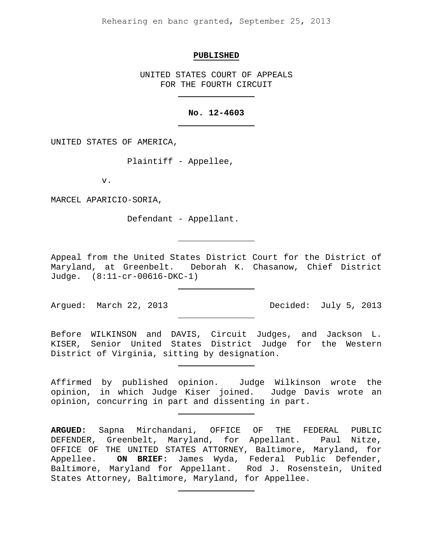Rehearing en banc granted, September 25, 2013

#### **PUBLISHED**

UNITED STATES COURT OF APPEALS FOR THE FOURTH CIRCUIT

### **No. 12-4603**

UNITED STATES OF AMERICA,

Plaintiff - Appellee,

v.

MARCEL APARICIO-SORIA,

Defendant - Appellant.

Appeal from the United States District Court for the District of<br>Maryland, at Greenbelt. Deborah K. Chasanow, Chief District Deborah K. Chasanow, Chief District Judge. (8:11-cr-00616-DKC-1)

Arqued: March 22, 2013 Decided: July 5, 2013

Before WILKINSON and DAVIS, Circuit Judges, and Jackson L. KISER, Senior United States District Judge for the Western District of Virginia, sitting by designation.

Affirmed by published opinion. Judge Wilkinson wrote the opinion, in which Judge Kiser joined. Judge Davis wrote an opinion, concurring in part and dissenting in part.

**ARGUED:** Sapna Mirchandani, OFFICE OF THE FEDERAL PUBLIC DEFENDER, Greenbelt, Maryland, for Appellant. Paul Nitze, OFFICE OF THE UNITED STATES ATTORNEY, Baltimore, Maryland, for<br>Appellee. ON BRIEF: James Wyda, Federal Public Defender, ON BRIEF: James Wyda, Federal Public Defender, Baltimore, Maryland for Appellant. Rod J. Rosenstein, United States Attorney, Baltimore, Maryland, for Appellee.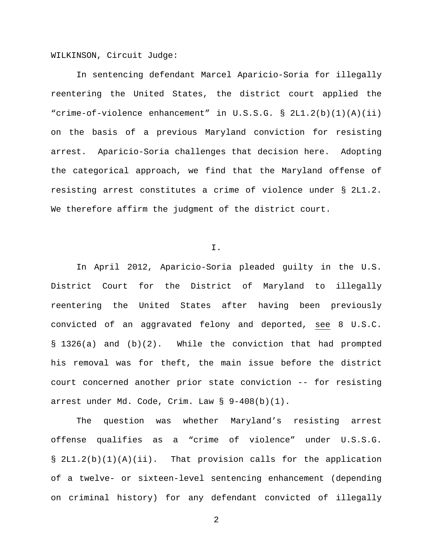WILKINSON, Circuit Judge:

In sentencing defendant Marcel Aparicio-Soria for illegally reentering the United States, the district court applied the "crime-of-violence enhancement" in U.S.S.G. § 2L1.2(b)(1)(A)(ii) on the basis of a previous Maryland conviction for resisting arrest. Aparicio-Soria challenges that decision here. Adopting the categorical approach, we find that the Maryland offense of resisting arrest constitutes a crime of violence under § 2L1.2. We therefore affirm the judgment of the district court.

I.

In April 2012, Aparicio-Soria pleaded guilty in the U.S. District Court for the District of Maryland to illegally reentering the United States after having been previously convicted of an aggravated felony and deported, see 8 U.S.C. § 1326(a) and (b)(2). While the conviction that had prompted his removal was for theft, the main issue before the district court concerned another prior state conviction -- for resisting arrest under Md. Code, Crim. Law § 9-408(b)(1).

The question was whether Maryland's resisting arrest offense qualifies as a "crime of violence" under U.S.S.G. § 2L1.2(b)(1)(A)(ii). That provision calls for the application of a twelve- or sixteen-level sentencing enhancement (depending on criminal history) for any defendant convicted of illegally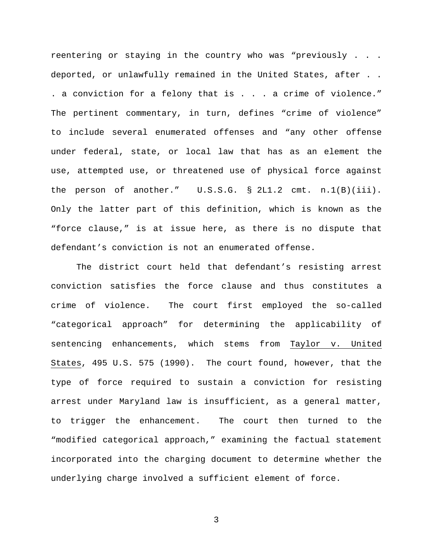reentering or staying in the country who was "previously . . . deported, or unlawfully remained in the United States, after . . . a conviction for a felony that is . . . a crime of violence." The pertinent commentary, in turn, defines "crime of violence" to include several enumerated offenses and "any other offense under federal, state, or local law that has as an element the use, attempted use, or threatened use of physical force against the person of another." U.S.S.G. § 2L1.2 cmt. n.1(B)(iii). Only the latter part of this definition, which is known as the "force clause," is at issue here, as there is no dispute that defendant's conviction is not an enumerated offense.

The district court held that defendant's resisting arrest conviction satisfies the force clause and thus constitutes a crime of violence. The court first employed the so-called "categorical approach" for determining the applicability of sentencing enhancements, which stems from Taylor v. United States, 495 U.S. 575 (1990). The court found, however, that the type of force required to sustain a conviction for resisting arrest under Maryland law is insufficient, as a general matter, to trigger the enhancement. The court then turned to the "modified categorical approach," examining the factual statement incorporated into the charging document to determine whether the underlying charge involved a sufficient element of force.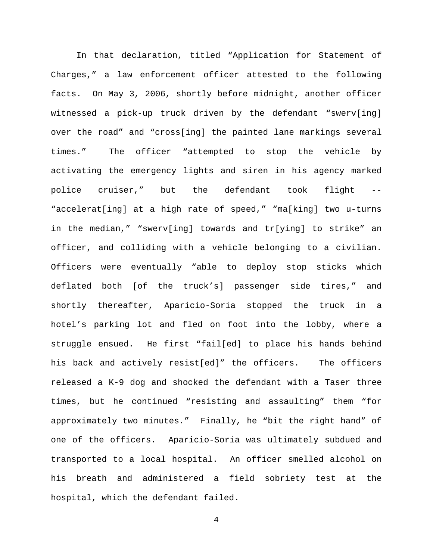In that declaration, titled "Application for Statement of Charges," a law enforcement officer attested to the following facts. On May 3, 2006, shortly before midnight, another officer witnessed a pick-up truck driven by the defendant "swerv[ing] over the road" and "cross[ing] the painted lane markings several times." The officer "attempted to stop the vehicle by activating the emergency lights and siren in his agency marked police cruiser," but the defendant took flight -- "accelerat[ing] at a high rate of speed," "ma[king] two u-turns in the median," "swerv[ing] towards and tr[ying] to strike" an officer, and colliding with a vehicle belonging to a civilian. Officers were eventually "able to deploy stop sticks which deflated both [of the truck's] passenger side tires," and shortly thereafter, Aparicio-Soria stopped the truck in a hotel's parking lot and fled on foot into the lobby, where a struggle ensued. He first "fail[ed] to place his hands behind his back and actively resist[ed]" the officers. The officers released a K-9 dog and shocked the defendant with a Taser three times, but he continued "resisting and assaulting" them "for approximately two minutes." Finally, he "bit the right hand" of one of the officers. Aparicio-Soria was ultimately subdued and transported to a local hospital. An officer smelled alcohol on his breath and administered a field sobriety test at the hospital, which the defendant failed.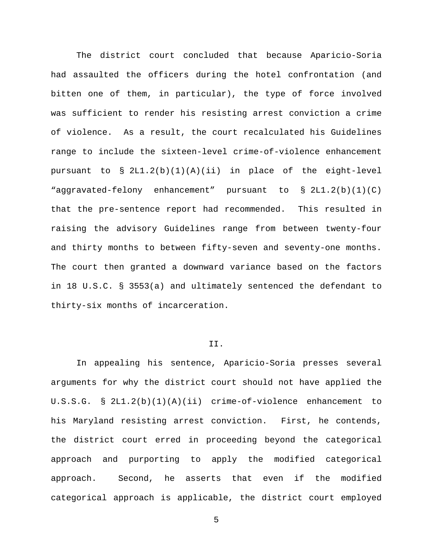The district court concluded that because Aparicio-Soria had assaulted the officers during the hotel confrontation (and bitten one of them, in particular), the type of force involved was sufficient to render his resisting arrest conviction a crime of violence. As a result, the court recalculated his Guidelines range to include the sixteen-level crime-of-violence enhancement pursuant to § 2L1.2(b)(1)(A)(ii) in place of the eight-level "aggravated-felony enhancement" pursuant to § 2L1.2(b)(1)(C) that the pre-sentence report had recommended. This resulted in raising the advisory Guidelines range from between twenty-four and thirty months to between fifty-seven and seventy-one months. The court then granted a downward variance based on the factors in 18 U.S.C. § 3553(a) and ultimately sentenced the defendant to thirty-six months of incarceration.

## II.

In appealing his sentence, Aparicio-Soria presses several arguments for why the district court should not have applied the U.S.S.G. § 2L1.2(b)(1)(A)(ii) crime-of-violence enhancement to his Maryland resisting arrest conviction. First, he contends, the district court erred in proceeding beyond the categorical approach and purporting to apply the modified categorical approach. Second, he asserts that even if the modified categorical approach is applicable, the district court employed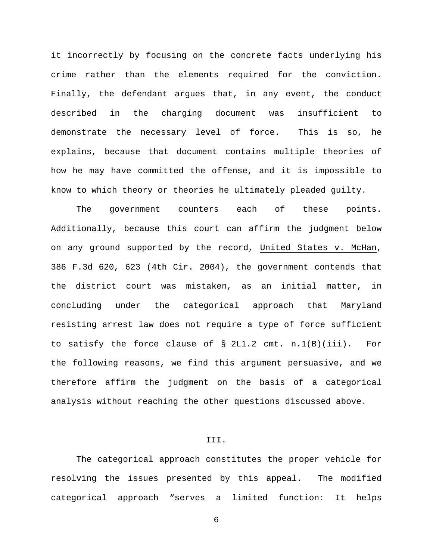it incorrectly by focusing on the concrete facts underlying his crime rather than the elements required for the conviction. Finally, the defendant argues that, in any event, the conduct described in the charging document was insufficient to demonstrate the necessary level of force. This is so, he explains, because that document contains multiple theories of how he may have committed the offense, and it is impossible to know to which theory or theories he ultimately pleaded guilty.

The government counters each of these points. Additionally, because this court can affirm the judgment below on any ground supported by the record, United States v. McHan, 386 F.3d 620, 623 (4th Cir. 2004), the government contends that the district court was mistaken, as an initial matter, in concluding under the categorical approach that Maryland resisting arrest law does not require a type of force sufficient to satisfy the force clause of § 2L1.2 cmt. n.1(B)(iii). For the following reasons, we find this argument persuasive, and we therefore affirm the judgment on the basis of a categorical analysis without reaching the other questions discussed above.

## III.

The categorical approach constitutes the proper vehicle for resolving the issues presented by this appeal. The modified categorical approach "serves a limited function: It helps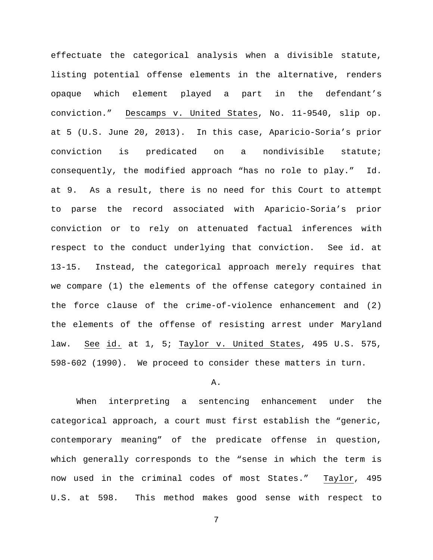effectuate the categorical analysis when a divisible statute, listing potential offense elements in the alternative, renders opaque which element played a part in the defendant's conviction." Descamps v. United States, No. 11-9540, slip op. at 5 (U.S. June 20, 2013). In this case, Aparicio-Soria's prior conviction is predicated on a nondivisible statute; consequently, the modified approach "has no role to play." Id. at 9. As a result, there is no need for this Court to attempt to parse the record associated with Aparicio-Soria's prior conviction or to rely on attenuated factual inferences with respect to the conduct underlying that conviction. See id. at 13-15. Instead, the categorical approach merely requires that we compare (1) the elements of the offense category contained in the force clause of the crime-of-violence enhancement and (2) the elements of the offense of resisting arrest under Maryland law. See id. at 1, 5; Taylor v. United States, 495 U.S. 575, 598-602 (1990). We proceed to consider these matters in turn.

#### A.

 When interpreting a sentencing enhancement under the categorical approach, a court must first establish the "generic, contemporary meaning" of the predicate offense in question, which generally corresponds to the "sense in which the term is now used in the criminal codes of most States." Taylor, 495 U.S. at 598. This method makes good sense with respect to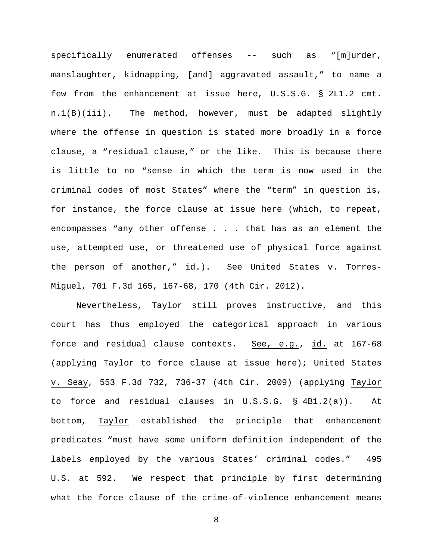specifically enumerated offenses -- such as "[m]urder, manslaughter, kidnapping, [and] aggravated assault," to name a few from the enhancement at issue here, U.S.S.G. § 2L1.2 cmt. n.1(B)(iii). The method, however, must be adapted slightly where the offense in question is stated more broadly in a force clause, a "residual clause," or the like. This is because there is little to no "sense in which the term is now used in the criminal codes of most States" where the "term" in question is, for instance, the force clause at issue here (which, to repeat, encompasses "any other offense . . . that has as an element the use, attempted use, or threatened use of physical force against the person of another," id.). See United States v. Torres-Miguel, 701 F.3d 165, 167-68, 170 (4th Cir. 2012).

Nevertheless, Taylor still proves instructive, and this court has thus employed the categorical approach in various force and residual clause contexts. See, e.g., id. at 167-68 (applying Taylor to force clause at issue here); United States v. Seay, 553 F.3d 732, 736-37 (4th Cir. 2009) (applying Taylor to force and residual clauses in U.S.S.G. § 4B1.2(a)). At bottom, Taylor established the principle that enhancement predicates "must have some uniform definition independent of the labels employed by the various States' criminal codes." 495 U.S. at 592. We respect that principle by first determining what the force clause of the crime-of-violence enhancement means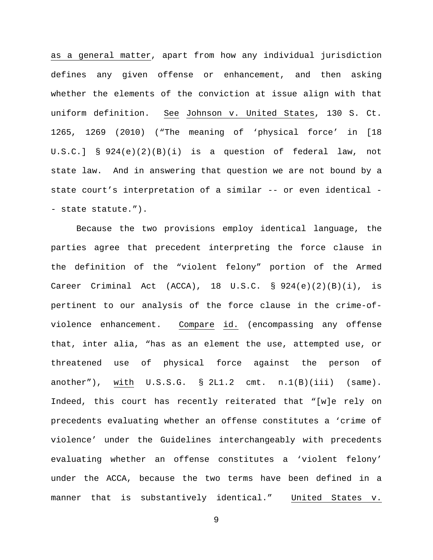as a general matter, apart from how any individual jurisdiction defines any given offense or enhancement, and then asking whether the elements of the conviction at issue align with that uniform definition. See Johnson v. United States, 130 S. Ct. 1265, 1269 (2010) ("The meaning of 'physical force' in [18 U.S.C.] § 924(e)(2)(B)(i) is a question of federal law, not state law. And in answering that question we are not bound by a state court's interpretation of a similar -- or even identical - - state statute.").

Because the two provisions employ identical language, the parties agree that precedent interpreting the force clause in the definition of the "violent felony" portion of the Armed Career Criminal Act (ACCA),  $18$  U.S.C. §  $924(e)(2)(B)(i)$ , is pertinent to our analysis of the force clause in the crime-ofviolence enhancement. Compare id. (encompassing any offense that, inter alia, "has as an element the use, attempted use, or threatened use of physical force against the person of another"), with U.S.S.G. § 2L1.2 cmt. n.1(B)(iii) (same). Indeed, this court has recently reiterated that "[w]e rely on precedents evaluating whether an offense constitutes a 'crime of violence' under the Guidelines interchangeably with precedents evaluating whether an offense constitutes a 'violent felony' under the ACCA, because the two terms have been defined in a manner that is substantively identical." United States v.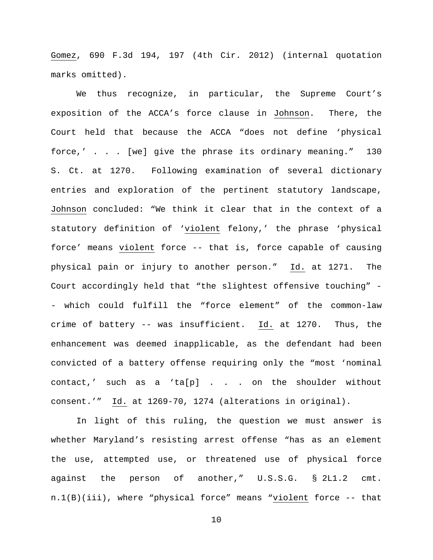Gomez, 690 F.3d 194, 197 (4th Cir. 2012) (internal quotation marks omitted).

We thus recognize, in particular, the Supreme Court's exposition of the ACCA's force clause in Johnson. There, the Court held that because the ACCA "does not define 'physical force,' . . . [we] give the phrase its ordinary meaning." 130 S. Ct. at 1270. Following examination of several dictionary entries and exploration of the pertinent statutory landscape, Johnson concluded: "We think it clear that in the context of a statutory definition of 'violent felony,' the phrase 'physical force' means violent force -- that is, force capable of causing physical pain or injury to another person." Id. at 1271. The Court accordingly held that "the slightest offensive touching" - - which could fulfill the "force element" of the common-law crime of battery -- was insufficient. Id. at 1270. Thus, the enhancement was deemed inapplicable, as the defendant had been convicted of a battery offense requiring only the "most 'nominal contact,' such as a 'ta[p] . . . on the shoulder without consent.'" Id. at 1269-70, 1274 (alterations in original).

In light of this ruling, the question we must answer is whether Maryland's resisting arrest offense "has as an element the use, attempted use, or threatened use of physical force against the person of another," U.S.S.G. § 2L1.2 cmt. n.1(B)(iii), where "physical force" means "violent force -- that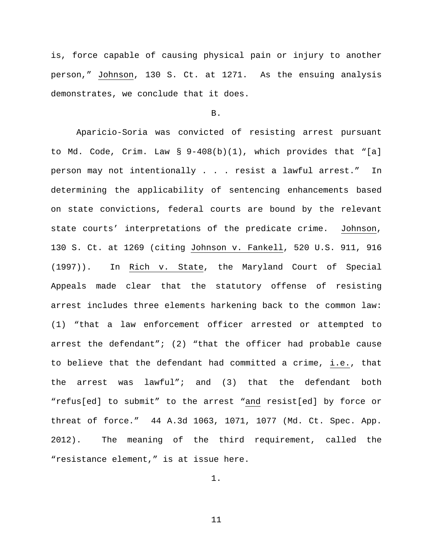is, force capable of causing physical pain or injury to another person," Johnson, 130 S. Ct. at 1271. As the ensuing analysis demonstrates, we conclude that it does.

#### B.

 Aparicio-Soria was convicted of resisting arrest pursuant to Md. Code, Crim. Law § 9-408(b)(1), which provides that "[a] person may not intentionally . . . resist a lawful arrest." In determining the applicability of sentencing enhancements based on state convictions, federal courts are bound by the relevant state courts' interpretations of the predicate crime. Johnson, 130 S. Ct. at 1269 (citing Johnson v. Fankell, 520 U.S. 911, 916 (1997)). In Rich v. State, the Maryland Court of Special Appeals made clear that the statutory offense of resisting arrest includes three elements harkening back to the common law: (1) "that a law enforcement officer arrested or attempted to arrest the defendant"; (2) "that the officer had probable cause to believe that the defendant had committed a crime, i.e., that the arrest was lawful"; and (3) that the defendant both "refus[ed] to submit" to the arrest "and resist[ed] by force or threat of force." 44 A.3d 1063, 1071, 1077 (Md. Ct. Spec. App. 2012). The meaning of the third requirement, called the "resistance element," is at issue here.

1.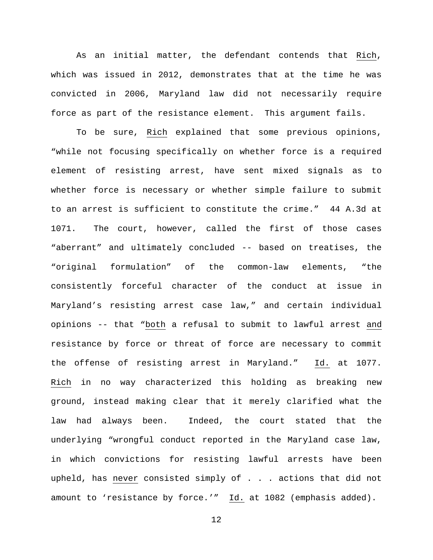As an initial matter, the defendant contends that Rich, which was issued in 2012, demonstrates that at the time he was convicted in 2006, Maryland law did not necessarily require force as part of the resistance element. This argument fails.

To be sure, Rich explained that some previous opinions, "while not focusing specifically on whether force is a required element of resisting arrest, have sent mixed signals as to whether force is necessary or whether simple failure to submit to an arrest is sufficient to constitute the crime." 44 A.3d at 1071. The court, however, called the first of those cases "aberrant" and ultimately concluded -- based on treatises, the "original formulation" of the common-law elements, "the consistently forceful character of the conduct at issue in Maryland's resisting arrest case law," and certain individual opinions -- that "both a refusal to submit to lawful arrest and resistance by force or threat of force are necessary to commit the offense of resisting arrest in Maryland." Id. at 1077. Rich in no way characterized this holding as breaking new ground, instead making clear that it merely clarified what the law had always been. Indeed, the court stated that the underlying "wrongful conduct reported in the Maryland case law, in which convictions for resisting lawful arrests have been upheld, has never consisted simply of . . . actions that did not amount to 'resistance by force.'" Id. at 1082 (emphasis added).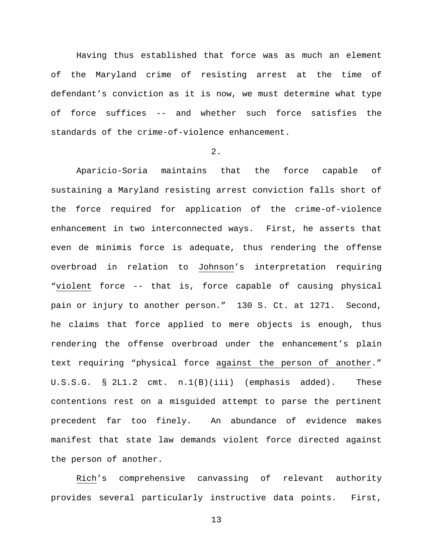Having thus established that force was as much an element of the Maryland crime of resisting arrest at the time of defendant's conviction as it is now, we must determine what type of force suffices -- and whether such force satisfies the standards of the crime-of-violence enhancement.

2.

Aparicio-Soria maintains that the force capable of sustaining a Maryland resisting arrest conviction falls short of the force required for application of the crime-of-violence enhancement in two interconnected ways. First, he asserts that even de minimis force is adequate, thus rendering the offense overbroad in relation to Johnson's interpretation requiring "violent force -- that is, force capable of causing physical pain or injury to another person." 130 S. Ct. at 1271. Second, he claims that force applied to mere objects is enough, thus rendering the offense overbroad under the enhancement's plain text requiring "physical force against the person of another." U.S.S.G. § 2L1.2 cmt. n.1(B)(iii) (emphasis added). These contentions rest on a misguided attempt to parse the pertinent precedent far too finely. An abundance of evidence makes manifest that state law demands violent force directed against the person of another.

Rich's comprehensive canvassing of relevant authority provides several particularly instructive data points. First,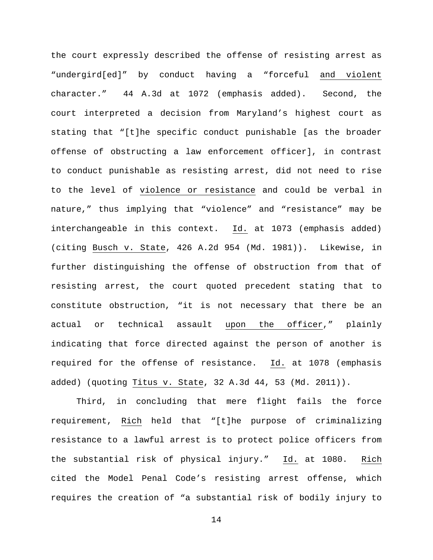the court expressly described the offense of resisting arrest as "undergird[ed]" by conduct having a "forceful and violent character." 44 A.3d at 1072 (emphasis added). Second, the court interpreted a decision from Maryland's highest court as stating that "[t]he specific conduct punishable [as the broader offense of obstructing a law enforcement officer], in contrast to conduct punishable as resisting arrest, did not need to rise to the level of violence or resistance and could be verbal in nature," thus implying that "violence" and "resistance" may be interchangeable in this context. Id. at 1073 (emphasis added) (citing Busch v. State, 426 A.2d 954 (Md. 1981)). Likewise, in further distinguishing the offense of obstruction from that of resisting arrest, the court quoted precedent stating that to constitute obstruction, "it is not necessary that there be an actual or technical assault upon the officer," plainly indicating that force directed against the person of another is required for the offense of resistance. Id. at 1078 (emphasis added) (quoting Titus v. State, 32 A.3d 44, 53 (Md. 2011)).

Third, in concluding that mere flight fails the force requirement, Rich held that "[t]he purpose of criminalizing resistance to a lawful arrest is to protect police officers from the substantial risk of physical injury." Id. at 1080. Rich cited the Model Penal Code's resisting arrest offense, which requires the creation of "a substantial risk of bodily injury to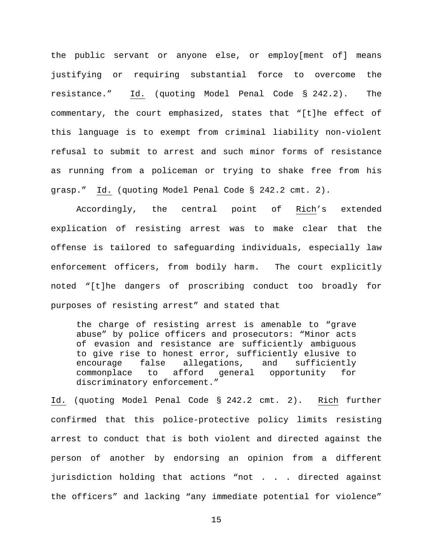the public servant or anyone else, or employ[ment of] means justifying or requiring substantial force to overcome the resistance." Id. (quoting Model Penal Code § 242.2). The commentary, the court emphasized, states that "[t]he effect of this language is to exempt from criminal liability non-violent refusal to submit to arrest and such minor forms of resistance as running from a policeman or trying to shake free from his grasp." Id. (quoting Model Penal Code § 242.2 cmt. 2).

Accordingly, the central point of Rich's extended explication of resisting arrest was to make clear that the offense is tailored to safeguarding individuals, especially law enforcement officers, from bodily harm. The court explicitly noted "[t]he dangers of proscribing conduct too broadly for purposes of resisting arrest" and stated that

the charge of resisting arrest is amenable to "grave abuse" by police officers and prosecutors: "Minor acts of evasion and resistance are sufficiently ambiguous to give rise to honest error, sufficiently elusive to encourage false allegations, and sufficiently<br>commonplace to afford general opportunity for general opportunity for discriminatory enforcement."

Id. (quoting Model Penal Code § 242.2 cmt. 2). Rich further confirmed that this police-protective policy limits resisting arrest to conduct that is both violent and directed against the person of another by endorsing an opinion from a different jurisdiction holding that actions "not . . . directed against the officers" and lacking "any immediate potential for violence"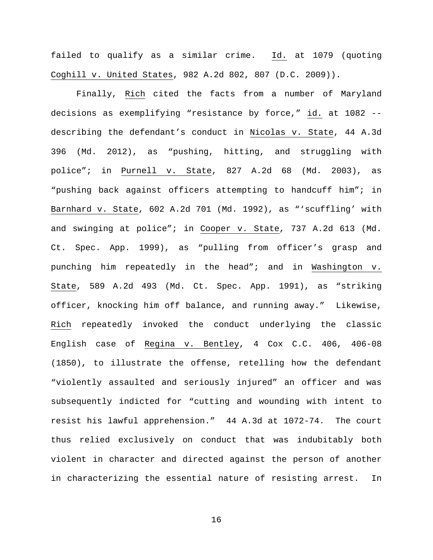failed to qualify as a similar crime. Id. at 1079 (quoting Coghill v. United States, 982 A.2d 802, 807 (D.C. 2009)).

Finally, Rich cited the facts from a number of Maryland decisions as exemplifying "resistance by force," id. at 1082 - describing the defendant's conduct in Nicolas v. State, 44 A.3d 396 (Md. 2012), as "pushing, hitting, and struggling with police"; in Purnell v. State, 827 A.2d 68 (Md. 2003), as "pushing back against officers attempting to handcuff him"; in Barnhard v. State, 602 A.2d 701 (Md. 1992), as "'scuffling' with and swinging at police"; in Cooper v. State, 737 A.2d 613 (Md. Ct. Spec. App. 1999), as "pulling from officer's grasp and punching him repeatedly in the head"; and in Washington v. State, 589 A.2d 493 (Md. Ct. Spec. App. 1991), as "striking officer, knocking him off balance, and running away." Likewise, Rich repeatedly invoked the conduct underlying the classic English case of Regina v. Bentley, 4 Cox C.C. 406, 406-08 (1850), to illustrate the offense, retelling how the defendant "violently assaulted and seriously injured" an officer and was subsequently indicted for "cutting and wounding with intent to resist his lawful apprehension." 44 A.3d at 1072-74. The court thus relied exclusively on conduct that was indubitably both violent in character and directed against the person of another in characterizing the essential nature of resisting arrest. In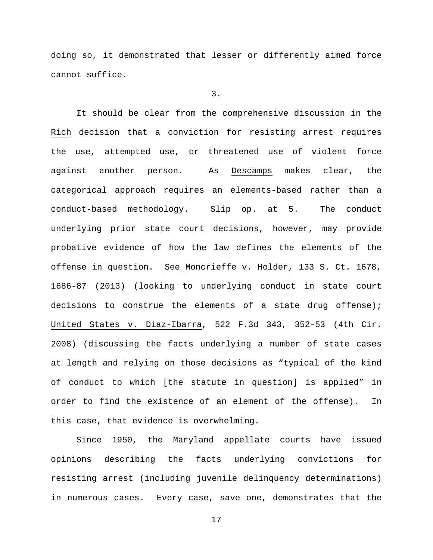doing so, it demonstrated that lesser or differently aimed force cannot suffice.

3.

It should be clear from the comprehensive discussion in the Rich decision that a conviction for resisting arrest requires the use, attempted use, or threatened use of violent force against another person. As Descamps makes clear, the categorical approach requires an elements-based rather than a conduct-based methodology. Slip op. at 5. The conduct underlying prior state court decisions, however, may provide probative evidence of how the law defines the elements of the offense in question. See Moncrieffe v. Holder, 133 S. Ct. 1678, 1686-87 (2013) (looking to underlying conduct in state court decisions to construe the elements of a state drug offense); United States v. Diaz-Ibarra, 522 F.3d 343, 352-53 (4th Cir. 2008) (discussing the facts underlying a number of state cases at length and relying on those decisions as "typical of the kind of conduct to which [the statute in question] is applied" in order to find the existence of an element of the offense). In this case, that evidence is overwhelming.

Since 1950, the Maryland appellate courts have issued opinions describing the facts underlying convictions for resisting arrest (including juvenile delinquency determinations) in numerous cases. Every case, save one, demonstrates that the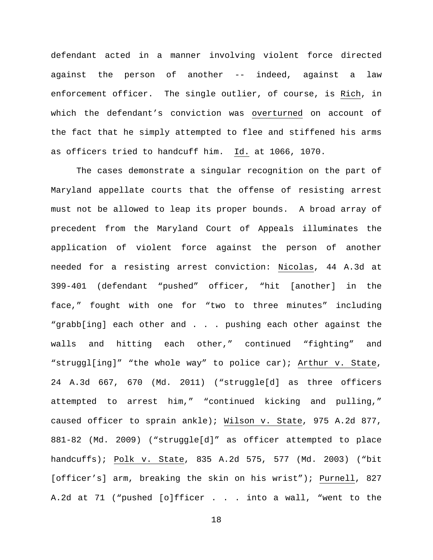defendant acted in a manner involving violent force directed against the person of another -- indeed, against a law enforcement officer. The single outlier, of course, is Rich, in which the defendant's conviction was overturned on account of the fact that he simply attempted to flee and stiffened his arms as officers tried to handcuff him. Id. at 1066, 1070.

The cases demonstrate a singular recognition on the part of Maryland appellate courts that the offense of resisting arrest must not be allowed to leap its proper bounds. A broad array of precedent from the Maryland Court of Appeals illuminates the application of violent force against the person of another needed for a resisting arrest conviction: Nicolas, 44 A.3d at 399-401 (defendant "pushed" officer, "hit [another] in the face," fought with one for "two to three minutes" including "grabb[ing] each other and . . . pushing each other against the walls and hitting each other," continued "fighting" and "struggl[ing]" "the whole way" to police car); Arthur v. State, 24 A.3d 667, 670 (Md. 2011) ("struggle[d] as three officers attempted to arrest him," "continued kicking and pulling," caused officer to sprain ankle); Wilson v. State, 975 A.2d 877, 881-82 (Md. 2009) ("struggle[d]" as officer attempted to place handcuffs); Polk v. State, 835 A.2d 575, 577 (Md. 2003) ("bit [officer's] arm, breaking the skin on his wrist"); Purnell, 827 A.2d at 71 ("pushed [o]fficer . . . into a wall, "went to the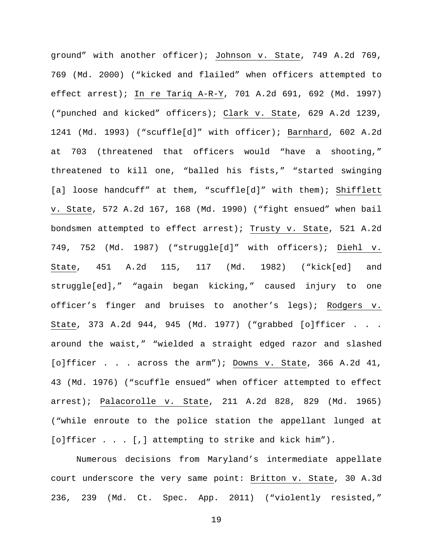ground" with another officer); Johnson v. State, 749 A.2d 769, 769 (Md. 2000) ("kicked and flailed" when officers attempted to effect arrest); In re Tariq A-R-Y, 701 A.2d 691, 692 (Md. 1997) ("punched and kicked" officers); Clark v. State, 629 A.2d 1239, 1241 (Md. 1993) ("scuffle[d]" with officer); Barnhard, 602 A.2d at 703 (threatened that officers would "have a shooting," threatened to kill one, "balled his fists," "started swinging [a] loose handcuff" at them, "scuffle[d]" with them); Shifflett v. State, 572 A.2d 167, 168 (Md. 1990) ("fight ensued" when bail bondsmen attempted to effect arrest); Trusty v. State, 521 A.2d 749, 752 (Md. 1987) ("struggle[d]" with officers); Diehl v. State, 451 A.2d 115, 117 (Md. 1982) ("kick[ed] and struggle[ed]," "again began kicking," caused injury to one officer's finger and bruises to another's legs); Rodgers v. State, 373 A.2d 944, 945 (Md. 1977) ("grabbed [o]fficer . . . around the waist," "wielded a straight edged razor and slashed [o]fficer . . . across the arm"); Downs v. State, 366 A.2d 41, 43 (Md. 1976) ("scuffle ensued" when officer attempted to effect arrest); Palacorolle v. State, 211 A.2d 828, 829 (Md. 1965) ("while enroute to the police station the appellant lunged at [o]fficer . . . [,] attempting to strike and kick him").

Numerous decisions from Maryland's intermediate appellate court underscore the very same point: Britton v. State, 30 A.3d 236, 239 (Md. Ct. Spec. App. 2011) ("violently resisted,"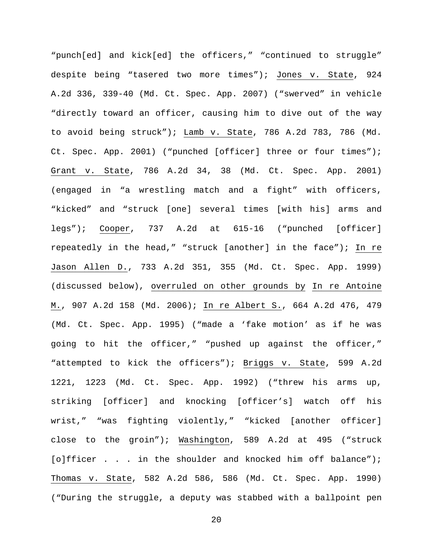"punch[ed] and kick[ed] the officers," "continued to struggle" despite being "tasered two more times"); Jones v. State, 924 A.2d 336, 339-40 (Md. Ct. Spec. App. 2007) ("swerved" in vehicle "directly toward an officer, causing him to dive out of the way to avoid being struck"); Lamb v. State, 786 A.2d 783, 786 (Md. Ct. Spec. App. 2001) ("punched [officer] three or four times"); Grant v. State, 786 A.2d 34, 38 (Md. Ct. Spec. App. 2001) (engaged in "a wrestling match and a fight" with officers, "kicked" and "struck [one] several times [with his] arms and legs"); Cooper, 737 A.2d at 615-16 ("punched [officer] repeatedly in the head," "struck [another] in the face"); In re Jason Allen D., 733 A.2d 351, 355 (Md. Ct. Spec. App. 1999) (discussed below), overruled on other grounds by In re Antoine M., 907 A.2d 158 (Md. 2006); In re Albert S., 664 A.2d 476, 479 (Md. Ct. Spec. App. 1995) ("made a 'fake motion' as if he was going to hit the officer," "pushed up against the officer," "attempted to kick the officers"); Briggs v. State, 599 A.2d 1221, 1223 (Md. Ct. Spec. App. 1992) ("threw his arms up, striking [officer] and knocking [officer's] watch off his wrist," "was fighting violently," "kicked [another officer] close to the groin"); Washington, 589 A.2d at 495 ("struck [o]fficer . . . in the shoulder and knocked him off balance"); Thomas v. State, 582 A.2d 586, 586 (Md. Ct. Spec. App. 1990) ("During the struggle, a deputy was stabbed with a ballpoint pen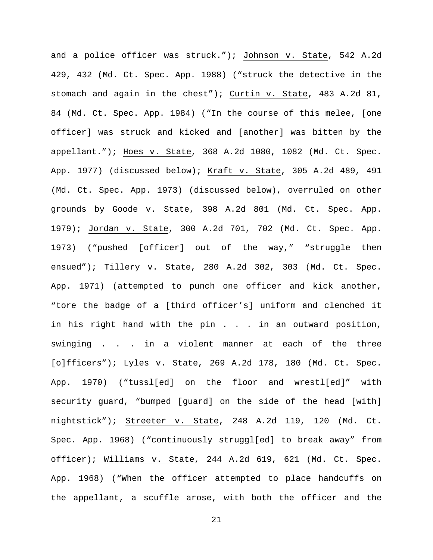and a police officer was struck."); Johnson v. State, 542 A.2d 429, 432 (Md. Ct. Spec. App. 1988) ("struck the detective in the stomach and again in the chest"); Curtin v. State, 483 A.2d 81, 84 (Md. Ct. Spec. App. 1984) ("In the course of this melee, [one officer] was struck and kicked and [another] was bitten by the appellant."); Hoes v. State, 368 A.2d 1080, 1082 (Md. Ct. Spec. App. 1977) (discussed below); Kraft v. State, 305 A.2d 489, 491 (Md. Ct. Spec. App. 1973) (discussed below), overruled on other grounds by Goode v. State, 398 A.2d 801 (Md. Ct. Spec. App. 1979); Jordan v. State, 300 A.2d 701, 702 (Md. Ct. Spec. App. 1973) ("pushed [officer] out of the way," "struggle then ensued"); Tillery v. State, 280 A.2d 302, 303 (Md. Ct. Spec. App. 1971) (attempted to punch one officer and kick another, "tore the badge of a [third officer's] uniform and clenched it in his right hand with the pin . . . in an outward position, swinging . . . in a violent manner at each of the three [o]fficers"); Lyles v. State, 269 A.2d 178, 180 (Md. Ct. Spec. App. 1970) ("tussl[ed] on the floor and wrestl[ed]" with security guard, "bumped [guard] on the side of the head [with] nightstick"); Streeter v. State, 248 A.2d 119, 120 (Md. Ct. Spec. App. 1968) ("continuously struggl[ed] to break away" from officer); Williams v. State, 244 A.2d 619, 621 (Md. Ct. Spec. App. 1968) ("When the officer attempted to place handcuffs on the appellant, a scuffle arose, with both the officer and the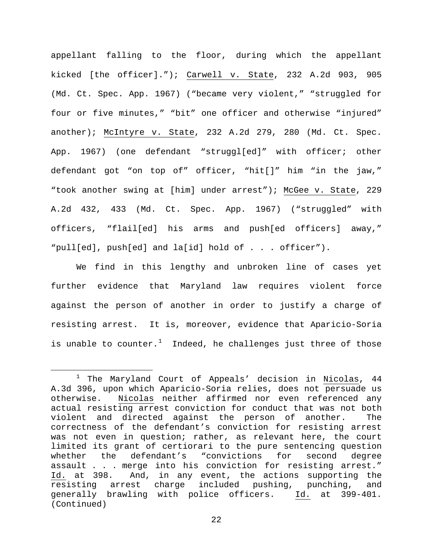appellant falling to the floor, during which the appellant kicked [the officer]."); Carwell v. State, 232 A.2d 903, 905 (Md. Ct. Spec. App. 1967) ("became very violent," "struggled for four or five minutes," "bit" one officer and otherwise "injured" another); McIntyre v. State, 232 A.2d 279, 280 (Md. Ct. Spec. App. 1967) (one defendant "struggl[ed]" with officer; other defendant got "on top of" officer, "hit[]" him "in the jaw," "took another swing at [him] under arrest"); McGee v. State, 229 A.2d 432, 433 (Md. Ct. Spec. App. 1967) ("struggled" with officers, "flail[ed] his arms and push[ed officers] away," "pull[ed], push[ed] and la[id] hold of . . . officer").

We find in this lengthy and unbroken line of cases yet further evidence that Maryland law requires violent force against the person of another in order to justify a charge of resisting arrest. It is, moreover, evidence that Aparicio-Soria is unable to counter. $^1$  $^1$  Indeed, he challenges just three of those

<span id="page-21-0"></span> $1$  The Maryland Court of Appeals' decision in Nicolas, 44 A.3d 396, upon which Aparicio-Soria relies, does not persuade us otherwise. Nicolas neither affirmed nor even referenced any actual resisting arrest conviction for conduct that was not both violent and directed against the person of another. The correctness of the defendant's conviction for resisting arrest was not even in question; rather, as relevant here, the court limited its grant of certiorari to the pure sentencing question<br>whether the defendant's "convictions for second degree defendant's "convictions for assault . . . merge into his conviction for resisting arrest." Id. at 398. And, in any event, the actions supporting the resisting arrest charge included pushing, punching, and generally brawling with police officers. Id. at 399-401. (Continued)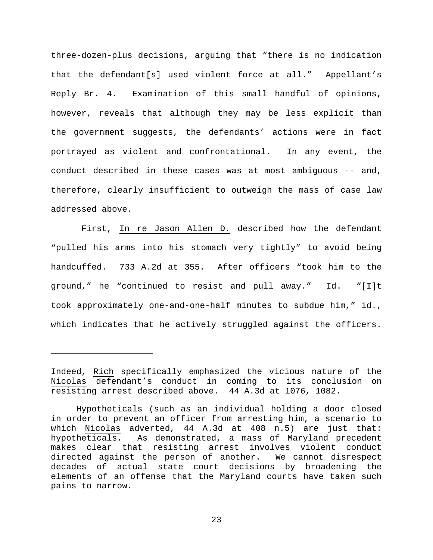three-dozen-plus decisions, arguing that "there is no indication that the defendant[s] used violent force at all." Appellant's Reply Br. 4. Examination of this small handful of opinions, however, reveals that although they may be less explicit than the government suggests, the defendants' actions were in fact portrayed as violent and confrontational. In any event, the conduct described in these cases was at most ambiguous -- and, therefore, clearly insufficient to outweigh the mass of case law addressed above.

 First, In re Jason Allen D. described how the defendant "pulled his arms into his stomach very tightly" to avoid being handcuffed. 733 A.2d at 355. After officers "took him to the ground," he "continued to resist and pull away." Id. "[I]t took approximately one-and-one-half minutes to subdue him," id., which indicates that he actively struggled against the officers.

ī

Indeed, Rich specifically emphasized the vicious nature of the Nicolas defendant's conduct in coming to its conclusion on resisting arrest described above. 44 A.3d at 1076, 1082.

Hypotheticals (such as an individual holding a door closed in order to prevent an officer from arresting him, a scenario to which Nicolas adverted, 44 A.3d at 408 n.5) are just that: hypotheticals. As demonstrated, a mass of Maryland precedent makes clear that resisting arrest involves violent conduct directed against the person of another. We cannot disrespect decades of actual state court decisions by broadening the elements of an offense that the Maryland courts have taken such pains to narrow.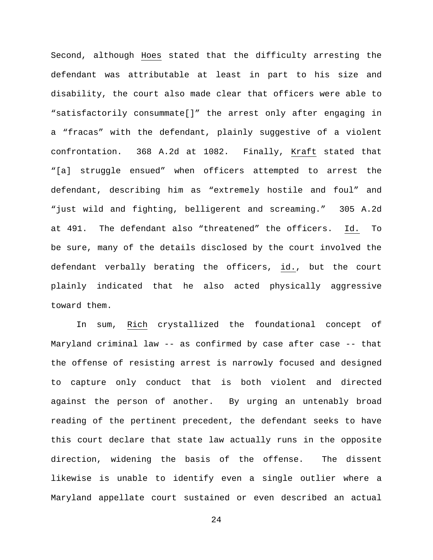Second, although Hoes stated that the difficulty arresting the defendant was attributable at least in part to his size and disability, the court also made clear that officers were able to "satisfactorily consummate[]" the arrest only after engaging in a "fracas" with the defendant, plainly suggestive of a violent confrontation. 368 A.2d at 1082. Finally, Kraft stated that "[a] struggle ensued" when officers attempted to arrest the defendant, describing him as "extremely hostile and foul" and "just wild and fighting, belligerent and screaming." 305 A.2d at 491. The defendant also "threatened" the officers. Id. To be sure, many of the details disclosed by the court involved the defendant verbally berating the officers, id., but the court plainly indicated that he also acted physically aggressive toward them.

In sum, Rich crystallized the foundational concept of Maryland criminal law -- as confirmed by case after case -- that the offense of resisting arrest is narrowly focused and designed to capture only conduct that is both violent and directed against the person of another. By urging an untenably broad reading of the pertinent precedent, the defendant seeks to have this court declare that state law actually runs in the opposite direction, widening the basis of the offense. The dissent likewise is unable to identify even a single outlier where a Maryland appellate court sustained or even described an actual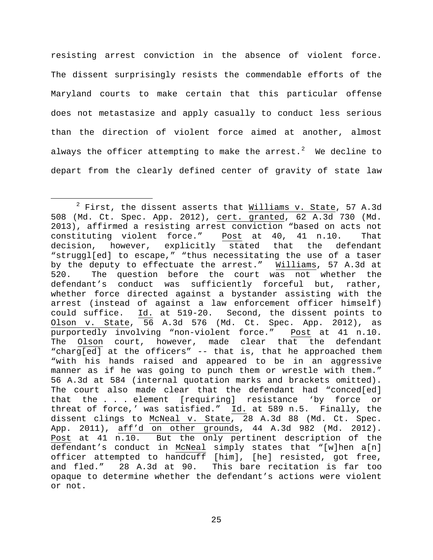resisting arrest conviction in the absence of violent force. The dissent surprisingly resists the commendable efforts of the Maryland courts to make certain that this particular offense does not metastasize and apply casually to conduct less serious than the direction of violent force aimed at another, almost always the officer attempting to make the arrest. $^2$  $^2$  We decline to depart from the clearly defined center of gravity of state law

<span id="page-24-0"></span> $2$  First, the dissent asserts that  $Milliams v. State$ , 57 A.3d</u> 508 (Md. Ct. Spec. App. 2012), cert. granted, 62 A.3d 730 (Md. 2013), affirmed a resisting arrest conviction "based on acts not constituting violent force." Post at 40, 41 n.10. That constituting violent force." Post at 40, 41 n.10. That decision, however, explicitly stated that the defendant "struggl[ed] to escape," "thus necessitating the use of a taser by the deputy to effectuate the arrest." Williams, 57 A.3d at<br>520. The question before the court was not whether the The question before the court was not whether the defendant's conduct was sufficiently forceful but, rather, whether force directed against a bystander assisting with the arrest (instead of against a law enforcement officer himself)<br>could suffice. Id. at 519-20. Second, the dissent points to Id. at 519-20. Second, the dissent points to Olson v. State, 56 A.3d 576 (Md. Ct. Spec. App. 2012), as purportedly involving "non-violent force." Post at 41 n.10. The Olson court, however, made clear that the defendant "charg[ed] at the officers" -- that is, that he approached them "with his hands raised and appeared to be in an aggressive manner as if he was going to punch them or wrestle with them." 56 A.3d at 584 (internal quotation marks and brackets omitted). The court also made clear that the defendant had "conced[ed] that the . . . element [requiring] resistance 'by force or threat of force,' was satisfied." Id. at 589 n.5. Finally, the dissent clings to McNeal v. State, 28 A.3d 88 (Md. Ct. Spec. App. 2011), aff'd on other grounds, 44 A.3d 982 (Md. 2012). Post at 41 n.10. But the only pertinent description of the defendant's conduct in McNeal simply states that "[w]hen a[n] officer attempted to handcuff [him], [he] resisted, got free, and fled." 28 A.3d at 90. This bare recitation is far too opaque to determine whether the defendant's actions were violent or not.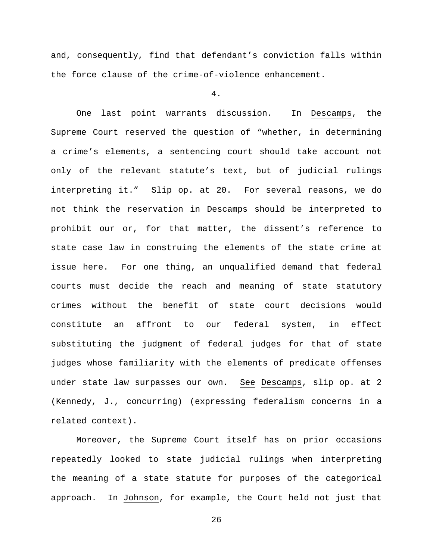and, consequently, find that defendant's conviction falls within the force clause of the crime-of-violence enhancement.

### 4.

One last point warrants discussion. In Descamps, the Supreme Court reserved the question of "whether, in determining a crime's elements, a sentencing court should take account not only of the relevant statute's text, but of judicial rulings interpreting it." Slip op. at 20. For several reasons, we do not think the reservation in Descamps should be interpreted to prohibit our or, for that matter, the dissent's reference to state case law in construing the elements of the state crime at issue here. For one thing, an unqualified demand that federal courts must decide the reach and meaning of state statutory crimes without the benefit of state court decisions would constitute an affront to our federal system, in effect substituting the judgment of federal judges for that of state judges whose familiarity with the elements of predicate offenses under state law surpasses our own. See Descamps, slip op. at 2 (Kennedy, J., concurring) (expressing federalism concerns in a related context).

Moreover, the Supreme Court itself has on prior occasions repeatedly looked to state judicial rulings when interpreting the meaning of a state statute for purposes of the categorical approach. In Johnson, for example, the Court held not just that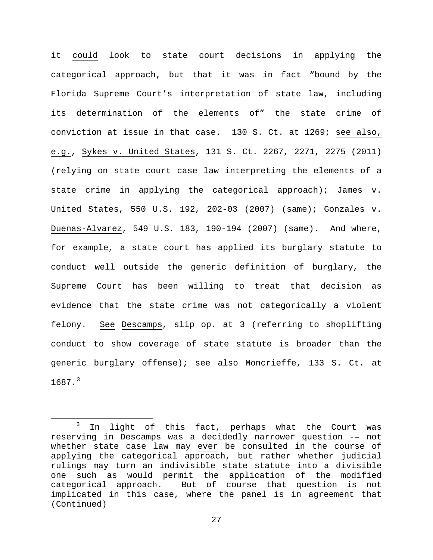it could look to state court decisions in applying the categorical approach, but that it was in fact "bound by the Florida Supreme Court's interpretation of state law, including its determination of the elements of" the state crime of conviction at issue in that case. 130 S. Ct. at 1269; see also, e.g., Sykes v. United States, 131 S. Ct. 2267, 2271, 2275 (2011) (relying on state court case law interpreting the elements of a state crime in applying the categorical approach); James v. United States, 550 U.S. 192, 202-03 (2007) (same); Gonzales v. Duenas-Alvarez, 549 U.S. 183, 190-194 (2007) (same). And where, for example, a state court has applied its burglary statute to conduct well outside the generic definition of burglary, the Supreme Court has been willing to treat that decision as evidence that the state crime was not categorically a violent felony. See Descamps, slip op. at 3 (referring to shoplifting conduct to show coverage of state statute is broader than the generic burglary offense); see also Moncrieffe, 133 S. Ct. at  $1687.$ <sup>[3](#page-26-0)</sup>

<span id="page-26-0"></span><sup>&</sup>lt;sup>3</sup> In light of this fact, perhaps what the Court was reserving in Descamps was a decidedly narrower question -– not whether state case law may ever be consulted in the course of applying the categorical approach, but rather whether judicial rulings may turn an indivisible state statute into a divisible one such as would permit the application of the modified<br>categorical approach. But of course that question is not But of course that question is not implicated in this case, where the panel is in agreement that (Continued)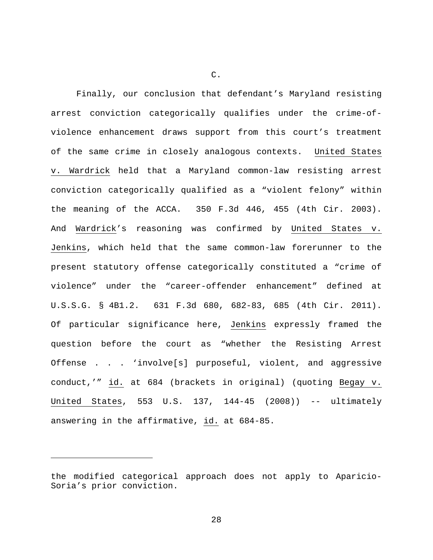Finally, our conclusion that defendant's Maryland resisting arrest conviction categorically qualifies under the crime-ofviolence enhancement draws support from this court's treatment of the same crime in closely analogous contexts. United States v. Wardrick held that a Maryland common-law resisting arrest conviction categorically qualified as a "violent felony" within the meaning of the ACCA. 350 F.3d 446, 455 (4th Cir. 2003). And Wardrick's reasoning was confirmed by United States v. Jenkins, which held that the same common-law forerunner to the present statutory offense categorically constituted a "crime of violence" under the "career-offender enhancement" defined at U.S.S.G. § 4B1.2. 631 F.3d 680, 682-83, 685 (4th Cir. 2011). Of particular significance here, Jenkins expressly framed the question before the court as "whether the Resisting Arrest Offense . . . 'involve[s] purposeful, violent, and aggressive conduct,'" id. at 684 (brackets in original) (quoting Begay v. United States, 553 U.S. 137, 144-45 (2008)) -- ultimately answering in the affirmative, id. at 684-85.

ī

C.

the modified categorical approach does not apply to Aparicio-Soria's prior conviction.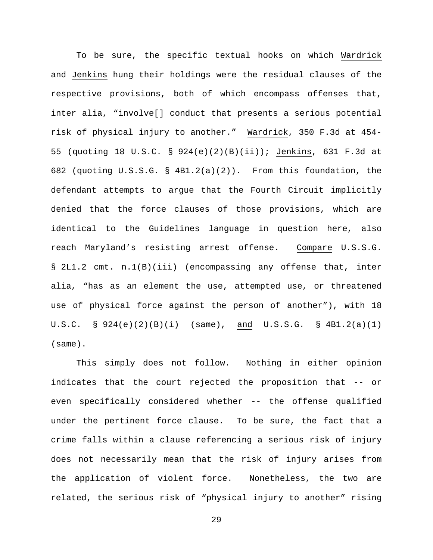To be sure, the specific textual hooks on which Wardrick and Jenkins hung their holdings were the residual clauses of the respective provisions, both of which encompass offenses that, inter alia, "involve[] conduct that presents a serious potential risk of physical injury to another." Wardrick, 350 F.3d at 454- 55 (quoting 18 U.S.C. § 924(e)(2)(B)(ii)); Jenkins, 631 F.3d at 682 (quoting U.S.S.G. § 4B1.2(a)(2)). From this foundation, the defendant attempts to argue that the Fourth Circuit implicitly denied that the force clauses of those provisions, which are identical to the Guidelines language in question here, also reach Maryland's resisting arrest offense. Compare U.S.S.G. § 2L1.2 cmt. n.1(B)(iii) (encompassing any offense that, inter alia, "has as an element the use, attempted use, or threatened use of physical force against the person of another"), with 18 U.S.C.  $\S$  924(e)(2)(B)(i) (same), and U.S.S.G.  $\S$  4B1.2(a)(1) (same).

This simply does not follow. Nothing in either opinion indicates that the court rejected the proposition that -- or even specifically considered whether -- the offense qualified under the pertinent force clause. To be sure, the fact that a crime falls within a clause referencing a serious risk of injury does not necessarily mean that the risk of injury arises from the application of violent force. Nonetheless, the two are related, the serious risk of "physical injury to another" rising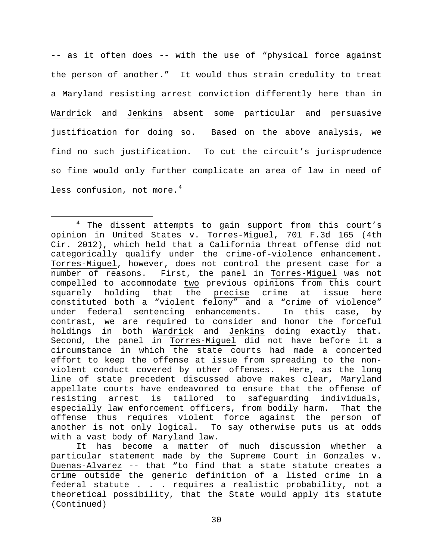-- as it often does -- with the use of "physical force against the person of another." It would thus strain credulity to treat a Maryland resisting arrest conviction differently here than in Wardrick and Jenkins absent some particular and persuasive justification for doing so. Based on the above analysis, we find no such justification. To cut the circuit's jurisprudence so fine would only further complicate an area of law in need of less confusion, not more. $4$ 

It has become a matter of much discussion whether a particular statement made by the Supreme Court in Gonzales v. Duenas-Alvarez -- that "to find that a state statute creates a crime outside the generic definition of a listed crime in a federal statute . . . requires a realistic probability, not a theoretical possibility, that the State would apply its statute (Continued)

<span id="page-29-0"></span><sup>&</sup>lt;sup>4</sup> The dissent attempts to gain support from this court's opinion in United States v. Torres-Miguel, 701 F.3d 165 (4th Cir. 2012), which held that a California threat offense did not categorically qualify under the crime-of-violence enhancement. Torres-Miguel, however, does not control the present case for a number of reasons. First, the panel in Torres-Miguel was not compelled to accommodate two previous opinions from this court<br>squarely holding that the precise crime at issue here squarely holding that the precise crime at constituted both a "violent felony" and a "crime of violence"<br>under federal sentencing enhancements. In this case, by under federal sentencing enhancements. contrast, we are required to consider and honor the forceful holdings in both Wardrick and Jenkins doing exactly that. Second, the panel in Torres-Miguel did not have before it a circumstance in which the state courts had made a concerted effort to keep the offense at issue from spreading to the non-<br>violent conduct covered by other offenses. Here, as the long violent conduct covered by other offenses. line of state precedent discussed above makes clear, Maryland appellate courts have endeavored to ensure that the offense of resisting arrest is tailored to safeguarding individuals, especially law enforcement officers, from bodily harm. That the offense thus requires violent force against the person of another is not only logical. To say otherwise puts us at odds with a vast body of Maryland law.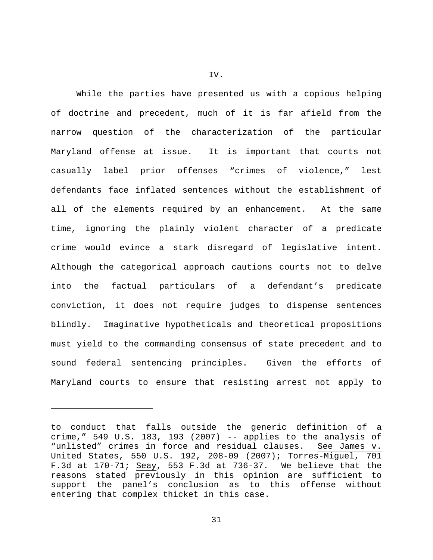While the parties have presented us with a copious helping of doctrine and precedent, much of it is far afield from the narrow question of the characterization of the particular Maryland offense at issue. It is important that courts not casually label prior offenses "crimes of violence," lest defendants face inflated sentences without the establishment of all of the elements required by an enhancement. At the same time, ignoring the plainly violent character of a predicate crime would evince a stark disregard of legislative intent. Although the categorical approach cautions courts not to delve into the factual particulars of a defendant's predicate conviction, it does not require judges to dispense sentences blindly. Imaginative hypotheticals and theoretical propositions must yield to the commanding consensus of state precedent and to sound federal sentencing principles. Given the efforts of Maryland courts to ensure that resisting arrest not apply to

ī

IV.

to conduct that falls outside the generic definition of a crime," 549 U.S. 183, 193 (2007)  $-$  applies to the analysis of "unlisted" crimes in force and residual clauses. See James v. United States, 550 U.S. 192, 208-09 (2007); Torres-Miguel, 701 F.3d at 170-71; Seay, 553 F.3d at 736-37. We believe that the reasons stated previously in this opinion are sufficient to support the panel's conclusion as to this offense without entering that complex thicket in this case.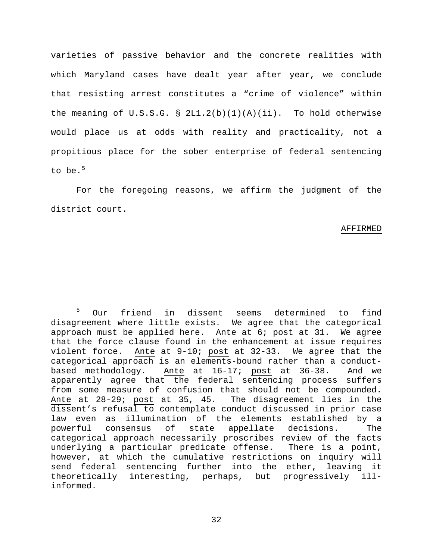varieties of passive behavior and the concrete realities with which Maryland cases have dealt year after year, we conclude that resisting arrest constitutes a "crime of violence" within the meaning of U.S.S.G.  $\S 2L1.2(b)(1)(A)(ii)$ . To hold otherwise would place us at odds with reality and practicality, not a propitious place for the sober enterprise of federal sentencing to be.  $5$ 

For the foregoing reasons, we affirm the judgment of the district court.

### AFFIRMED

<span id="page-31-0"></span> <sup>5</sup> Our friend in dissent seems determined to find disagreement where little exists. We agree that the categorical approach must be applied here. Ante at 6; post at 31. We agree that the force clause found in the enhancement at issue requires violent force. Ante at 9-10; post at 32-33. We agree that the categorical approach is an elements-bound rather than a conductbased methodology. Ante at 16-17; post at 36-38. And we apparently agree that the federal sentencing process suffers from some measure of confusion that should not be compounded. Ante at 28-29; post at 35, 45. The disagreement lies in the dissent's refusal to contemplate conduct discussed in prior case law even as illumination of the elements established by a powerful consensus of state appellate decisions. The categorical approach necessarily proscribes review of the facts<br>underlying a particular predicate offense. There is a point, underlying a particular predicate offense. however, at which the cumulative restrictions on inquiry will send federal sentencing further into the ether, leaving it theoretically interesting, perhaps, but progressively illinformed.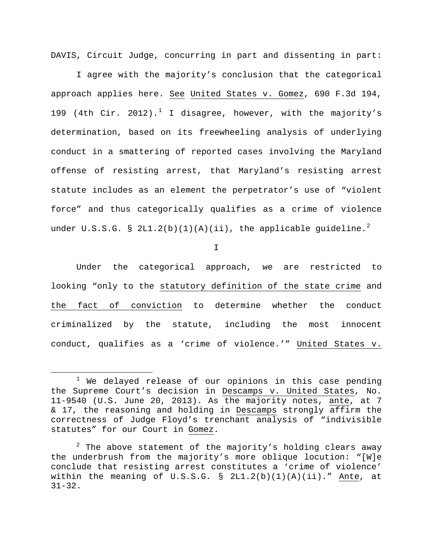DAVIS, Circuit Judge, concurring in part and dissenting in part:

I agree with the majority's conclusion that the categorical approach applies here. See United States v. Gomez, 690 F.3d 194, [1](#page-32-0)99 (4th Cir. 2012).<sup>1</sup> I disagree, however, with the majority's determination, based on its freewheeling analysis of underlying conduct in a smattering of reported cases involving the Maryland offense of resisting arrest, that Maryland's resisting arrest statute includes as an element the perpetrator's use of "violent force" and thus categorically qualifies as a crime of violence under U.S.S.G. § [2](#page-32-1)L1.2(b)(1)(A)(ii), the applicable guideline.<sup>2</sup>

I

Under the categorical approach, we are restricted to looking "only to the statutory definition of the state crime and the fact of conviction to determine whether the conduct criminalized by the statute, including the most innocent conduct, qualifies as a 'crime of violence.'" United States v.

<span id="page-32-0"></span> $1$  We delayed release of our opinions in this case pending the Supreme Court's decision in Descamps v. United States, No. 11-9540 (U.S. June 20, 2013). As the majority notes, ante, at 7 & 17, the reasoning and holding in Descamps strongly affirm the correctness of Judge Floyd's trenchant analysis of "indivisible statutes" for our Court in Gomez.

<span id="page-32-1"></span> $2$  The above statement of the majority's holding clears away the underbrush from the majority's more oblique locution: "[W]e conclude that resisting arrest constitutes a 'crime of violence' within the meaning of U.S.S.G.  $\S$  2L1.2(b)(1)(A)(ii)." Ante, at 31-32.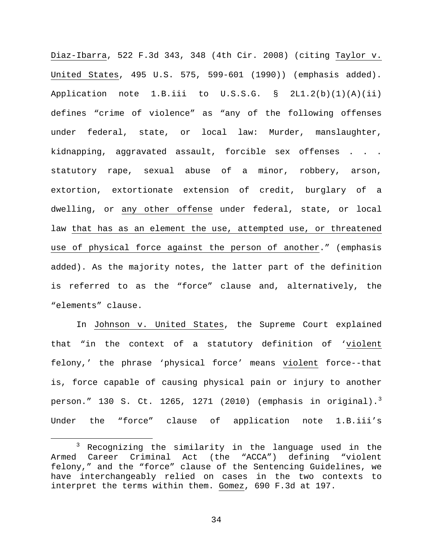Diaz-Ibarra, 522 F.3d 343, 348 (4th Cir. 2008) (citing Taylor v. United States, 495 U.S. 575, 599-601 (1990)) (emphasis added). Application note 1.B.iii to  $U.S.S.G. S 2L1.2(b)(1)(A)(ii)$ defines "crime of violence" as "any of the following offenses under federal, state, or local law: Murder, manslaughter, kidnapping, aggravated assault, forcible sex offenses . . . statutory rape, sexual abuse of a minor, robbery, arson, extortion, extortionate extension of credit, burglary of a dwelling, or any other offense under federal, state, or local law that has as an element the use, attempted use, or threatened use of physical force against the person of another." (emphasis added). As the majority notes, the latter part of the definition is referred to as the "force" clause and, alternatively, the "elements" clause.

In Johnson v. United States, the Supreme Court explained that "in the context of a statutory definition of 'violent felony,' the phrase 'physical force' means violent force--that is, force capable of causing physical pain or injury to another person." 1[3](#page-33-0)0 S. Ct. 1265, 1271 (2010) (emphasis in original).<sup>3</sup> Under the "force" clause of application note 1.B.iii's

<span id="page-33-0"></span> $3$  Recognizing the similarity in the language used in the Armed Career Criminal Act (the "ACCA") defining "violent felony," and the "force" clause of the Sentencing Guidelines, we have interchangeably relied on cases in the two contexts to interpret the terms within them. Gomez, 690 F.3d at 197.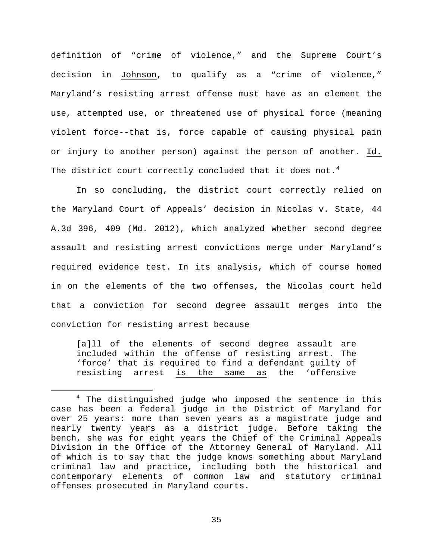definition of "crime of violence," and the Supreme Court's decision in Johnson, to qualify as a "crime of violence," Maryland's resisting arrest offense must have as an element the use, attempted use, or threatened use of physical force (meaning violent force--that is, force capable of causing physical pain or injury to another person) against the person of another. Id. The district court correctly concluded that it does not.<sup>[4](#page-34-0)</sup>

In so concluding, the district court correctly relied on the Maryland Court of Appeals' decision in Nicolas v. State, 44 A.3d 396, 409 (Md. 2012), which analyzed whether second degree assault and resisting arrest convictions merge under Maryland's required evidence test. In its analysis, which of course homed in on the elements of the two offenses, the Nicolas court held that a conviction for second degree assault merges into the conviction for resisting arrest because

[a]11 of the elements of second degree assault are included within the offense of resisting arrest. The 'force' that is required to find a defendant guilty of<br>resisting arrest is the same as the 'offensive resisting arrest is the same as

<span id="page-34-0"></span><sup>&</sup>lt;sup>4</sup> The distinguished judge who imposed the sentence in this case has been a federal judge in the District of Maryland for over 25 years: more than seven years as a magistrate judge and nearly twenty years as a district judge. Before taking the bench, she was for eight years the Chief of the Criminal Appeals Division in the Office of the Attorney General of Maryland. All of which is to say that the judge knows something about Maryland criminal law and practice, including both the historical and contemporary elements of common law and statutory criminal offenses prosecuted in Maryland courts.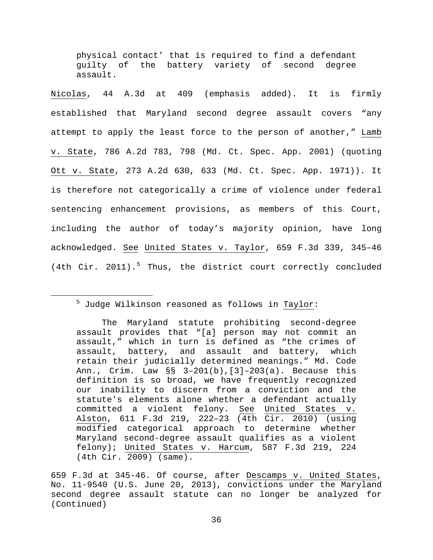physical contact' that is required to find a defendant guilty of the battery variety of second degree assault.

Nicolas, 44 A.3d at 409 (emphasis added). It is firmly established that Maryland second degree assault covers "any attempt to apply the least force to the person of another," Lamb v. State, 786 A.2d 783, 798 (Md. Ct. Spec. App. 2001) (quoting Ott v. State, 273 A.2d 630, 633 (Md. Ct. Spec. App. 1971)). It is therefore not categorically a crime of violence under federal sentencing enhancement provisions, as members of this Court, including the author of today's majority opinion, have long acknowledged. See United States v. Taylor, 659 F.3d 339, 345–46 (4th Cir. 2011).<sup>[5](#page-35-0)</sup> Thus, the district court correctly concluded

# <span id="page-35-0"></span> $\frac{1}{5}$  $<sup>5</sup>$  Judge Wilkinson reasoned as follows in Taylor:</sup>

The Maryland statute prohibiting second-degree assault provides that "[a] person may not commit an assault," which in turn is defined as "the crimes of assault, battery, and assault and battery, which retain their judicially determined meanings." Md. Code Ann., Crim. Law §§ 3–201(b),[3]–203(a). Because this definition is so broad, we have frequently recognized our inability to discern from a conviction and the statute's elements alone whether a defendant actually committed a violent felony. See United States v. Alston, 611 F.3d 219, 222–23 (4th Cir. 2010) (using modified categorical approach to determine whether Maryland second-degree assault qualifies as a violent felony); United States v. Harcum, 587 F.3d 219, 224 (4th Cir. 2009) (same).

<sup>659</sup> F.3d at 345-46. Of course, after Descamps v. United States, No. 11-9540 (U.S. June 20, 2013), convictions under the Maryland second degree assault statute can no longer be analyzed for (Continued)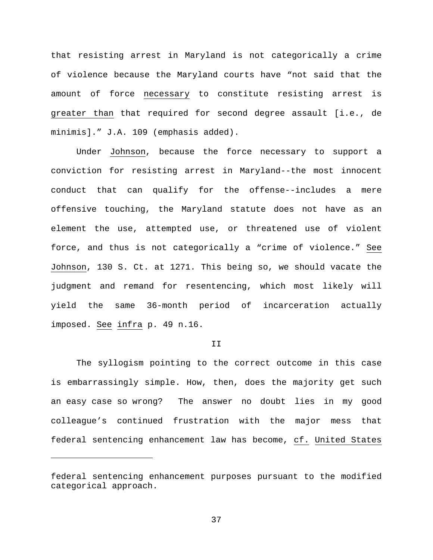that resisting arrest in Maryland is not categorically a crime of violence because the Maryland courts have "not said that the amount of force necessary to constitute resisting arrest is greater than that required for second degree assault [i.e., de minimis]." J.A. 109 (emphasis added).

Under Johnson, because the force necessary to support a conviction for resisting arrest in Maryland--the most innocent conduct that can qualify for the offense--includes a mere offensive touching, the Maryland statute does not have as an element the use, attempted use, or threatened use of violent force, and thus is not categorically a "crime of violence." See Johnson, 130 S. Ct. at 1271. This being so, we should vacate the judgment and remand for resentencing, which most likely will yield the same 36-month period of incarceration actually imposed. See infra p. 49 n.16.

### T<sub>T</sub>

The syllogism pointing to the correct outcome in this case is embarrassingly simple. How, then, does the majority get such an easy case so wrong? The answer no doubt lies in my good colleague's continued frustration with the major mess that federal sentencing enhancement law has become, cf. United States

ī

federal sentencing enhancement purposes pursuant to the modified categorical approach.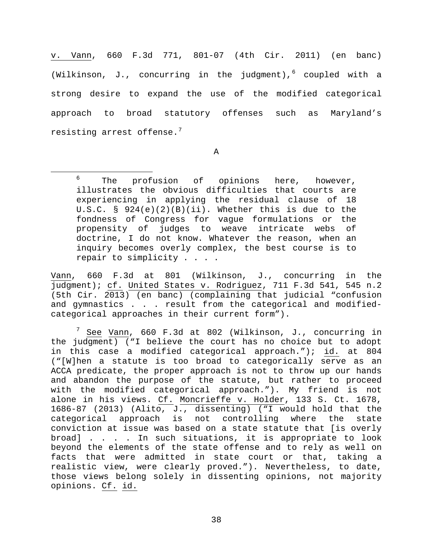v. Vann, 660 F.3d 771, 801-07 (4th Cir. 2011) (en banc) (Wilkinson, J., concurring in the judgment),  $6$  coupled with a strong desire to expand the use of the modified categorical approach to broad statutory offenses such as Maryland's resisting arrest offense.<sup>[7](#page-37-1)</sup>

A

Vann, 660 F.3d at 801 (Wilkinson, J., concurring in the judgment); cf. United States v. Rodriguez, 711 F.3d 541, 545 n.2 (5th Cir. 2013) (en banc) (complaining that judicial "confusion and gymnastics . . . result from the categorical and modifiedcategorical approaches in their current form").

<span id="page-37-1"></span>7 See Vann, 660 F.3d at 802 (Wilkinson, J., concurring in the judgment) ("I believe the court has no choice but to adopt in this case a modified categorical approach."); id. at 804 ("[W]hen a statute is too broad to categorically serve as an ACCA predicate, the proper approach is not to throw up our hands and abandon the purpose of the statute, but rather to proceed with the modified categorical approach."). My friend is not alone in his views. Cf. Moncrieffe v. Holder, 133 S. Ct. 1678, 1686-87 (2013) (Alito, J., dissenting) ("I would hold that the categorical approach is not controlling where the state conviction at issue was based on a state statute that [is overly broad] . . . . In such situations, it is appropriate to look beyond the elements of the state offense and to rely as well on facts that were admitted in state court or that, taking a realistic view, were clearly proved."). Nevertheless, to date, those views belong solely in dissenting opinions, not majority opinions. Cf. id.

<span id="page-37-0"></span> <sup>6</sup>  $6$  The profusion of opinions here, however, illustrates the obvious difficulties that courts are experiencing in applying the residual clause of 18 U.S.C. § 924(e)(2)(B)(ii). Whether this is due to the fondness of Congress for vague formulations or the propensity of judges to weave intricate webs doctrine, I do not know. Whatever the reason, when an inquiry becomes overly complex, the best course is to repair to simplicity . . . .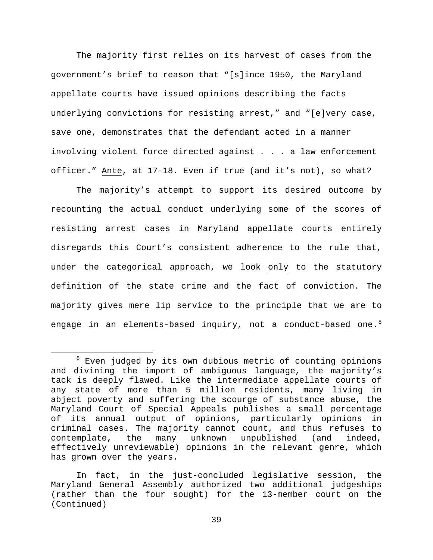The majority first relies on its harvest of cases from the government's brief to reason that "[s]ince 1950, the Maryland appellate courts have issued opinions describing the facts underlying convictions for resisting arrest," and "[e]very case, save one, demonstrates that the defendant acted in a manner involving violent force directed against . . . a law enforcement officer." Ante, at 17-18. Even if true (and it's not), so what?

The majority's attempt to support its desired outcome by recounting the actual conduct underlying some of the scores of resisting arrest cases in Maryland appellate courts entirely disregards this Court's consistent adherence to the rule that, under the categorical approach, we look only to the statutory definition of the state crime and the fact of conviction. The majority gives mere lip service to the principle that we are to engage in an elements-based inquiry, not a conduct-based one. $8$ 

<span id="page-38-0"></span><sup>&</sup>lt;sup>8</sup> Even judged by its own dubious metric of counting opinions and divining the import of ambiguous language, the majority's tack is deeply flawed. Like the intermediate appellate courts of any state of more than 5 million residents, many living in abject poverty and suffering the scourge of substance abuse, the Maryland Court of Special Appeals publishes a small percentage of its annual output of opinions, particularly opinions in criminal cases. The majority cannot count, and thus refuses to contemplate, the many unknown unpublished (and indeed, effectively unreviewable) opinions in the relevant genre, which has grown over the years.

In fact, in the just-concluded legislative session, the Maryland General Assembly authorized two additional judgeships (rather than the four sought) for the 13-member court on the (Continued)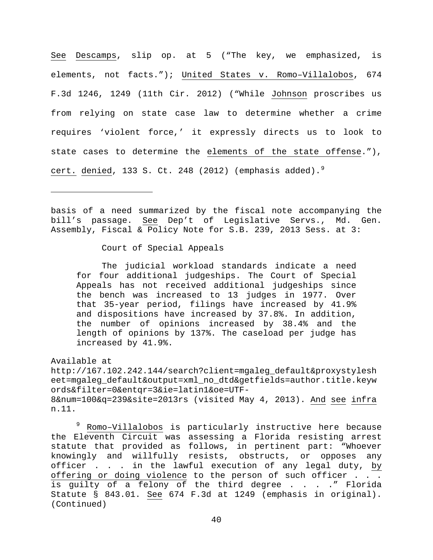See Descamps, slip op. at 5 ("The key, we emphasized, is elements, not facts."); United States v. Romo–Villalobos, 674 F.3d 1246, 1249 (11th Cir. 2012) ("While Johnson proscribes us from relying on state case law to determine whether a crime requires 'violent force,' it expressly directs us to look to state cases to determine the elements of the state offense."), cert. denied, 133 S. Ct. 248 (2012) (emphasis added).<sup>[9](#page-39-0)</sup>

basis of a need summarized by the fiscal note accompanying the bill's passage. See Dep't of Legislative Servs., Md. Gen. Assembly, Fiscal & Policy Note for S.B. 239, 2013 Sess. at 3:

Court of Special Appeals

The judicial workload standards indicate a need for four additional judgeships. The Court of Special Appeals has not received additional judgeships since the bench was increased to 13 judges in 1977. Over that 35-year period, filings have increased by 41.9% and dispositions have increased by 37.8%. In addition, the number of opinions increased by 38.4% and the length of opinions by 137%. The caseload per judge has increased by 41.9%.

Available at

ī

http://167.102.242.144/search?client=mgaleg\_default&proxystylesh eet=mgaleg\_default&output=xml\_no\_dtd&getfields=author.title.keyw ords&filter=0&entqr=3&ie=latin1&oe=UTF-8&num=100&q=239&site=2013rs (visited May 4, 2013). And see infra n.11.

<span id="page-39-0"></span><sup>9</sup> Romo-Villalobos is particularly instructive here because the Eleventh Circuit was assessing a Florida resisting arrest statute that provided as follows, in pertinent part: "Whoever knowingly and willfully resists, obstructs, or opposes any officer . . . in the lawful execution of any legal duty, by offering or doing violence to the person of such officer . . . is guilty of a felony of the third degree . . . . " Florida Statute § 843.01. See 674 F.3d at 1249 (emphasis in original). (Continued)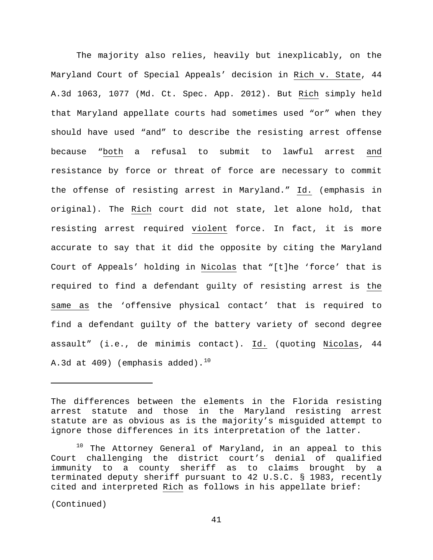The majority also relies, heavily but inexplicably, on the Maryland Court of Special Appeals' decision in Rich v. State, 44 A.3d 1063, 1077 (Md. Ct. Spec. App. 2012). But Rich simply held that Maryland appellate courts had sometimes used "or" when they should have used "and" to describe the resisting arrest offense because "both a refusal to submit to lawful arrest and resistance by force or threat of force are necessary to commit the offense of resisting arrest in Maryland." Id. (emphasis in original). The Rich court did not state, let alone hold, that resisting arrest required violent force. In fact, it is more accurate to say that it did the opposite by citing the Maryland Court of Appeals' holding in Nicolas that "[t]he 'force' that is required to find a defendant guilty of resisting arrest is the same as the 'offensive physical contact' that is required to find a defendant guilty of the battery variety of second degree assault" (i.e., de minimis contact). Id. (quoting Nicolas, 44 A.3d at 409) (emphasis added). $10^{10}$  $10^{10}$ 

(Continued)

ī

The differences between the elements in the Florida resisting arrest statute and those in the Maryland resisting arrest statute are as obvious as is the majority's misguided attempt to ignore those differences in its interpretation of the latter.

<span id="page-40-0"></span><sup>&</sup>lt;sup>10</sup> The Attorney General of Maryland, in an appeal to this Court challenging the district court's denial of qualified immunity to a county sheriff as to claims brought by a terminated deputy sheriff pursuant to 42 U.S.C. § 1983, recently cited and interpreted Rich as follows in his appellate brief: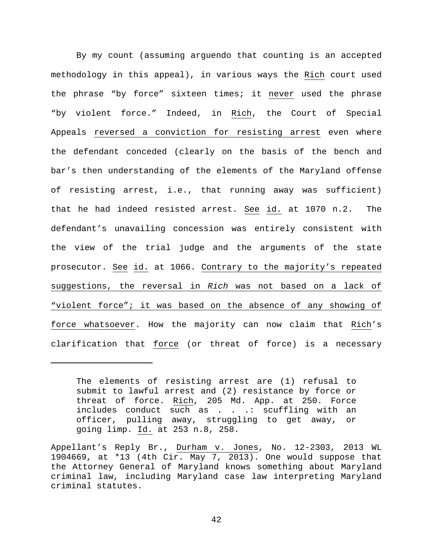By my count (assuming arguendo that counting is an accepted methodology in this appeal), in various ways the Rich court used the phrase "by force" sixteen times; it never used the phrase "by violent force." Indeed, in Rich, the Court of Special Appeals reversed a conviction for resisting arrest even where the defendant conceded (clearly on the basis of the bench and bar's then understanding of the elements of the Maryland offense of resisting arrest, i.e., that running away was sufficient) that he had indeed resisted arrest. See id. at 1070 n.2. The defendant's unavailing concession was entirely consistent with the view of the trial judge and the arguments of the state prosecutor. See id. at 1066. Contrary to the majority's repeated suggestions, the reversal in *Rich* was not based on a lack of "violent force"; it was based on the absence of any showing of force whatsoever. How the majority can now claim that Rich's clarification that force (or threat of force) is a necessary

ī

The elements of resisting arrest are (1) refusal to submit to lawful arrest and (2) resistance by force or threat of force. Rich, 205 Md. App. at 250. Force includes conduct such as . . .: scuffling with an officer, pulling away, struggling to get away, or going limp. Id. at 253 n.8, 258.

Appellant's Reply Br., Durham v. Jones, No. 12-2303, 2013 WL 1904669, at \*13 (4th Cir. May 7, 2013). One would suppose that the Attorney General of Maryland knows something about Maryland criminal law, including Maryland case law interpreting Maryland criminal statutes.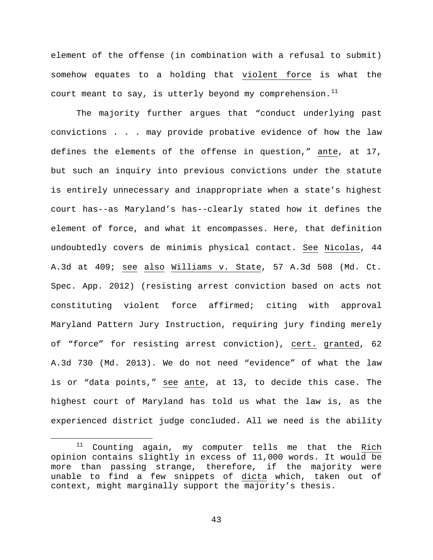element of the offense (in combination with a refusal to submit) somehow equates to a holding that violent force is what the court meant to say, is utterly beyond my comprehension.<sup>[11](#page-42-0)</sup>

The majority further argues that "conduct underlying past convictions . . . may provide probative evidence of how the law defines the elements of the offense in question," ante, at 17, but such an inquiry into previous convictions under the statute is entirely unnecessary and inappropriate when a state's highest court has--as Maryland's has--clearly stated how it defines the element of force, and what it encompasses. Here, that definition undoubtedly covers de minimis physical contact. See Nicolas, 44 A.3d at 409; see also Williams v. State, 57 A.3d 508 (Md. Ct. Spec. App. 2012) (resisting arrest conviction based on acts not constituting violent force affirmed; citing with approval Maryland Pattern Jury Instruction, requiring jury finding merely of "force" for resisting arrest conviction), cert. granted, 62 A.3d 730 (Md. 2013). We do not need "evidence" of what the law is or "data points," see ante, at 13, to decide this case. The highest court of Maryland has told us what the law is, as the experienced district judge concluded. All we need is the ability

<span id="page-42-0"></span> $11$  Counting again, my computer tells me that the Rich opinion contains slightly in excess of 11,000 words. It would be more than passing strange, therefore, if the majority were unable to find a few snippets of dicta which, taken out of context, might marginally support the majority's thesis.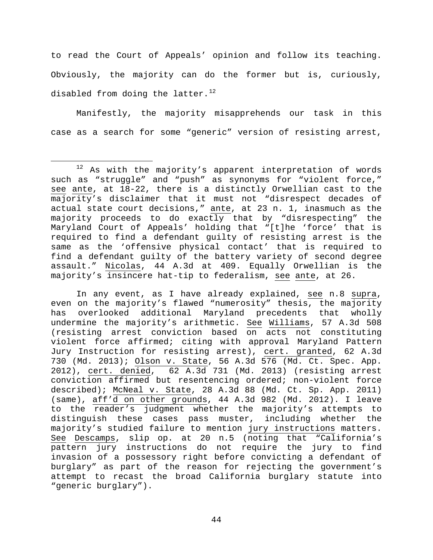to read the Court of Appeals' opinion and follow its teaching. Obviously, the majority can do the former but is, curiously, disabled from doing the latter. $^{12}$  $^{12}$  $^{12}$ 

Manifestly, the majority misapprehends our task in this case as a search for some "generic" version of resisting arrest,

In any event, as I have already explained, see n.8 supra, even on the majority's flawed "numerosity" thesis, the majority has overlooked additional Maryland precedents that wholly undermine the majority's arithmetic. See Williams, 57 A.3d 508 (resisting arrest conviction based on acts not constituting violent force affirmed; citing with approval Maryland Pattern Jury Instruction for resisting arrest), cert. granted, 62 A.3d 730 (Md. 2013); Olson v. State, 56 A.3d 576 (Md. Ct. Spec. App. 2012), cert. denied, 62 A.3d 731 (Md. 2013) (resisting arrest conviction affirmed but resentencing ordered; non-violent force described); McNeal v. State, 28 A.3d 88 (Md. Ct. Sp. App. 2011) (same), aff'd on other grounds, 44 A.3d 982 (Md. 2012). I leave to the reader's judgment whether the majority's attempts to distinguish these cases pass muster, including whether the majority's studied failure to mention jury instructions matters. See Descamps, slip op. at 20 n.5 (noting that "California's pattern jury instructions do not require the jury to find invasion of a possessory right before convicting a defendant of burglary" as part of the reason for rejecting the government's attempt to recast the broad California burglary statute into "generic burglary").

<span id="page-43-0"></span> $12$  As with the majority's apparent interpretation of words such as "struggle" and "push" as synonyms for "violent force," see ante, at 18-22, there is a distinctly Orwellian cast to the majority's disclaimer that it must not "disrespect decades of actual state court decisions," ante, at 23 n. 1, inasmuch as the majority proceeds to do exactly that by "disrespecting" the Maryland Court of Appeals' holding that "[t]he 'force' that is required to find a defendant guilty of resisting arrest is the same as the 'offensive physical contact' that is required to find a defendant guilty of the battery variety of second degree assault." Nicolas, 44 A.3d at 409. Equally Orwellian is the majority's insincere hat-tip to federalism, see ante, at 26.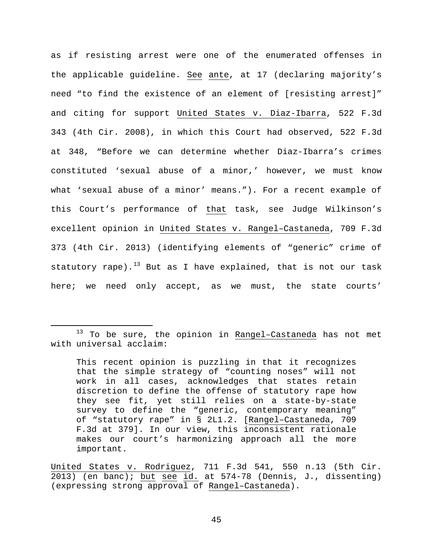as if resisting arrest were one of the enumerated offenses in the applicable guideline. See ante, at 17 (declaring majority's need "to find the existence of an element of [resisting arrest]" and citing for support United States v. Diaz-Ibarra, 522 F.3d 343 (4th Cir. 2008), in which this Court had observed, 522 F.3d at 348, "Before we can determine whether Diaz-Ibarra's crimes constituted 'sexual abuse of a minor,' however, we must know what 'sexual abuse of a minor' means."). For a recent example of this Court's performance of that task, see Judge Wilkinson's excellent opinion in United States v. Rangel–Castaneda, 709 F.3d 373 (4th Cir. 2013) (identifying elements of "generic" crime of statutory rape).<sup>[13](#page-44-0)</sup> But as I have explained, that is not our task here; we need only accept, as we must, the state courts'

<span id="page-44-0"></span><sup>&</sup>lt;sup>13</sup> To be sure, the opinion in Rangel-Castaneda has not met with universal acclaim:

This recent opinion is puzzling in that it recognizes that the simple strategy of "counting noses" will not work in all cases, acknowledges that states retain discretion to define the offense of statutory rape how they see fit, yet still relies on a state-by-state survey to define the "generic, contemporary meaning" of "statutory rape" in § 2L1.2. [Rangel–Castaneda, 709 F.3d at 379]. In our view, this inconsistent rationale makes our court's harmonizing approach all the more important.

United States v. Rodriguez, 711 F.3d 541, 550 n.13 (5th Cir. 2013) (en banc); but see id. at 574-78 (Dennis, J., dissenting) (expressing strong approval of Rangel–Castaneda).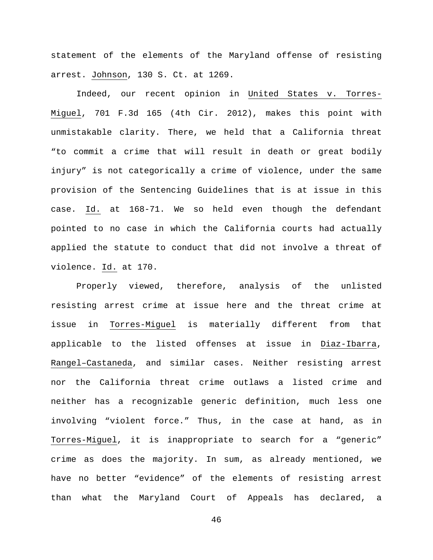statement of the elements of the Maryland offense of resisting arrest. Johnson, 130 S. Ct. at 1269.

Indeed, our recent opinion in United States v. Torres-Miguel, 701 F.3d 165 (4th Cir. 2012), makes this point with unmistakable clarity. There, we held that a California threat "to commit a crime that will result in death or great bodily injury" is not categorically a crime of violence, under the same provision of the Sentencing Guidelines that is at issue in this case. Id. at 168-71. We so held even though the defendant pointed to no case in which the California courts had actually applied the statute to conduct that did not involve a threat of violence. Id. at 170.

Properly viewed, therefore, analysis of the unlisted resisting arrest crime at issue here and the threat crime at issue in Torres-Miguel is materially different from that applicable to the listed offenses at issue in Diaz-Ibarra, Rangel–Castaneda, and similar cases. Neither resisting arrest nor the California threat crime outlaws a listed crime and neither has a recognizable generic definition, much less one involving "violent force." Thus, in the case at hand, as in Torres-Miguel, it is inappropriate to search for a "generic" crime as does the majority. In sum, as already mentioned, we have no better "evidence" of the elements of resisting arrest than what the Maryland Court of Appeals has declared, a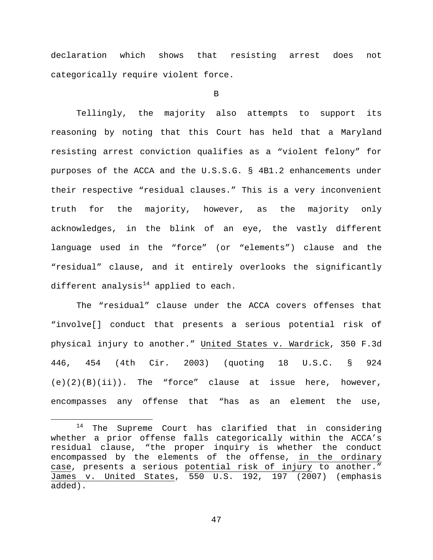declaration which shows that resisting arrest does not categorically require violent force.

B

Tellingly, the majority also attempts to support its reasoning by noting that this Court has held that a Maryland resisting arrest conviction qualifies as a "violent felony" for purposes of the ACCA and the U.S.S.G. § 4B1.2 enhancements under their respective "residual clauses." This is a very inconvenient truth for the majority, however, as the majority only acknowledges, in the blink of an eye, the vastly different language used in the "force" (or "elements") clause and the "residual" clause, and it entirely overlooks the significantly different analysis $14$  applied to each.

The "residual" clause under the ACCA covers offenses that "involve[] conduct that presents a serious potential risk of physical injury to another." United States v. Wardrick, 350 F.3d 446, 454 (4th Cir. 2003) (quoting 18 U.S.C. § 924  $(e)(2)(B)(ii)$ . The "force" clause at issue here, however, encompasses any offense that "has as an element the use,

<span id="page-46-0"></span> <sup>14</sup> The Supreme Court has clarified that in considering whether a prior offense falls categorically within the ACCA's residual clause, "the proper inquiry is whether the conduct encompassed by the elements of the offense, in the ordinary case, presents a serious potential risk of injury to another." James v. United States, 550 U.S. 192, 197 (2007) (emphasis added).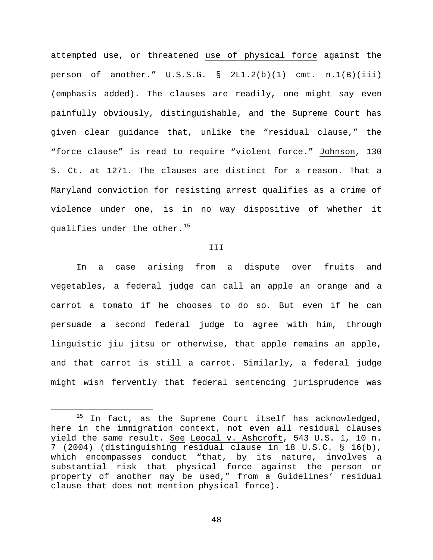attempted use, or threatened use of physical force against the person of another." U.S.S.G. § 2L1.2(b)(1) cmt. n.1(B)(iii) (emphasis added). The clauses are readily, one might say even painfully obviously, distinguishable, and the Supreme Court has given clear guidance that, unlike the "residual clause," the "force clause" is read to require "violent force." Johnson, 130 S. Ct. at 1271. The clauses are distinct for a reason. That a Maryland conviction for resisting arrest qualifies as a crime of violence under one, is in no way dispositive of whether it qualifies under the other.<sup>[15](#page-47-0)</sup>

#### III

In a case arising from a dispute over fruits and vegetables, a federal judge can call an apple an orange and a carrot a tomato if he chooses to do so. But even if he can persuade a second federal judge to agree with him, through linguistic jiu jitsu or otherwise, that apple remains an apple, and that carrot is still a carrot. Similarly, a federal judge might wish fervently that federal sentencing jurisprudence was

<span id="page-47-0"></span> $15$  In fact, as the Supreme Court itself has acknowledged, here in the immigration context, not even all residual clauses yield the same result. See Leocal v. Ashcroft, 543 U.S. 1, 10 n. 7 (2004) (distinguishing residual clause in 18 U.S.C. § 16(b), which encompasses conduct "that, by its nature, involves a substantial risk that physical force against the person or property of another may be used," from a Guidelines' residual clause that does not mention physical force).